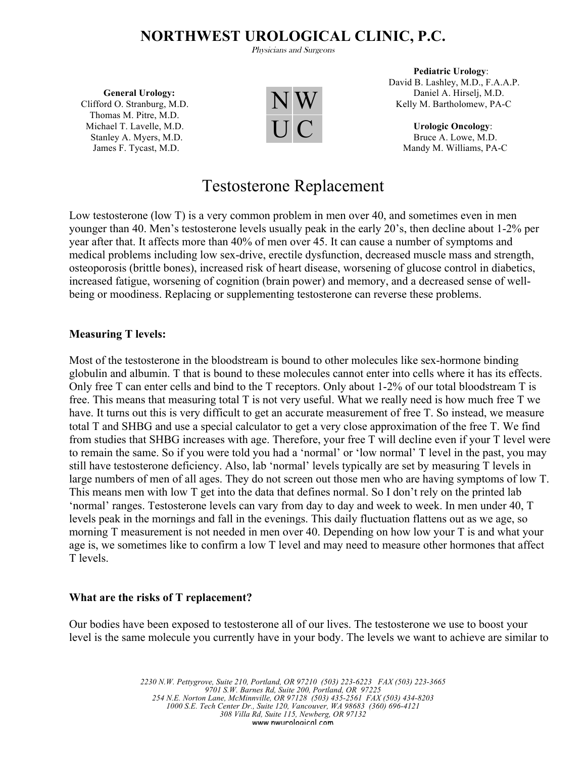Physicians and Surgeons

 Thomas M. Pitre, M.D. Michael T. Lavelle, M.D. **Urologic Oncology**: Stanley A. Myers, M.D. **Example A. Lowe, M.D.** Bruce A. Lowe, M.D.



 **Pediatric Urology**: David B. Lashley, M.D., F.A.A.P. **General Urology: Daniel A. Hirselj, M.D. Daniel A. Hirselj, M.D.** Clifford O. Stranburg, M.D. Kelly M. Bartholomew, PA-C

James F. Tycast, M.D. **Mandy M. Williams, PA-C** Mandy M. Williams, PA-C

# Testosterone Replacement

Low testosterone (low T) is a very common problem in men over 40, and sometimes even in men younger than 40. Men's testosterone levels usually peak in the early 20's, then decline about 1-2% per year after that. It affects more than 40% of men over 45. It can cause a number of symptoms and medical problems including low sex-drive, erectile dysfunction, decreased muscle mass and strength, osteoporosis (brittle bones), increased risk of heart disease, worsening of glucose control in diabetics, increased fatigue, worsening of cognition (brain power) and memory, and a decreased sense of wellbeing or moodiness. Replacing or supplementing testosterone can reverse these problems.

### **Measuring T levels:**

Most of the testosterone in the bloodstream is bound to other molecules like sex-hormone binding globulin and albumin. T that is bound to these molecules cannot enter into cells where it has its effects. Only free T can enter cells and bind to the T receptors. Only about 1-2% of our total bloodstream T is free. This means that measuring total T is not very useful. What we really need is how much free T we have. It turns out this is very difficult to get an accurate measurement of free T. So instead, we measure total T and SHBG and use a special calculator to get a very close approximation of the free T. We find from studies that SHBG increases with age. Therefore, your free T will decline even if your T level were to remain the same. So if you were told you had a 'normal' or 'low normal' T level in the past, you may still have testosterone deficiency. Also, lab 'normal' levels typically are set by measuring T levels in large numbers of men of all ages. They do not screen out those men who are having symptoms of low T. This means men with low T get into the data that defines normal. So I don't rely on the printed lab 'normal' ranges. Testosterone levels can vary from day to day and week to week. In men under 40, T levels peak in the mornings and fall in the evenings. This daily fluctuation flattens out as we age, so morning T measurement is not needed in men over 40. Depending on how low your T is and what your age is, we sometimes like to confirm a low T level and may need to measure other hormones that affect T levels.

### **What are the risks of T replacement?**

Our bodies have been exposed to testosterone all of our lives. The testosterone we use to boost your level is the same molecule you currently have in your body. The levels we want to achieve are similar to

> *2230 N.W. Pettygrove, Suite 210, Portland, OR 97210 (503) 223-6223 FAX (503) 223-3665 9701 S.W. Barnes Rd, Suite 200, Portland, OR 97225 254 N.E. Norton Lane, McMinnville, OR 97128 (503) 435-2561 FAX (503) 434-8203 1000 S.E. Tech Center Dr., Suite 120, Vancouver, WA 98683 (360) 696-4121 308 Villa Rd, Suite 115, Newberg, OR 97132* www.nwurological.com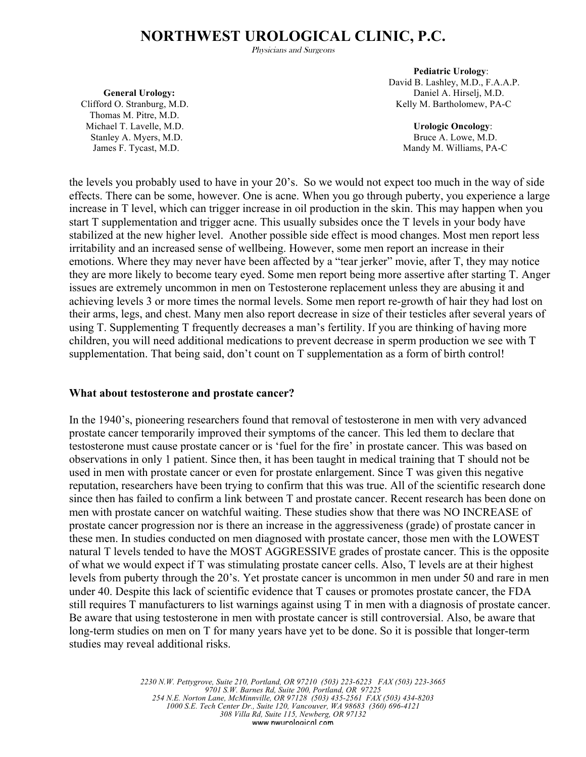Physicians and Surgeons

 Thomas M. Pitre, M.D. Michael T. Lavelle, M.D. **Urologic Oncology**: Stanley A. Myers, M.D. Bruce A. Lowe, M.D.

 **Pediatric Urology**: David B. Lashley, M.D., F.A.A.P. **General Urology:** Daniel A. Hirselj, M.D. Clifford O. Stranburg, M.D. Kelly M. Bartholomew, PA-C

James F. Tycast, M.D. **Mandy M. Williams, PA-C** Mandy M. Williams, PA-C

the levels you probably used to have in your 20's. So we would not expect too much in the way of side effects. There can be some, however. One is acne. When you go through puberty, you experience a large increase in T level, which can trigger increase in oil production in the skin. This may happen when you start T supplementation and trigger acne. This usually subsides once the T levels in your body have stabilized at the new higher level. Another possible side effect is mood changes. Most men report less irritability and an increased sense of wellbeing. However, some men report an increase in their emotions. Where they may never have been affected by a "tear jerker" movie, after T, they may notice they are more likely to become teary eyed. Some men report being more assertive after starting T. Anger issues are extremely uncommon in men on Testosterone replacement unless they are abusing it and achieving levels 3 or more times the normal levels. Some men report re-growth of hair they had lost on their arms, legs, and chest. Many men also report decrease in size of their testicles after several years of using T. Supplementing T frequently decreases a man's fertility. If you are thinking of having more children, you will need additional medications to prevent decrease in sperm production we see with T supplementation. That being said, don't count on T supplementation as a form of birth control!

#### **What about testosterone and prostate cancer?**

In the 1940's, pioneering researchers found that removal of testosterone in men with very advanced prostate cancer temporarily improved their symptoms of the cancer. This led them to declare that testosterone must cause prostate cancer or is 'fuel for the fire' in prostate cancer. This was based on observations in only 1 patient. Since then, it has been taught in medical training that T should not be used in men with prostate cancer or even for prostate enlargement. Since T was given this negative reputation, researchers have been trying to confirm that this was true. All of the scientific research done since then has failed to confirm a link between T and prostate cancer. Recent research has been done on men with prostate cancer on watchful waiting. These studies show that there was NO INCREASE of prostate cancer progression nor is there an increase in the aggressiveness (grade) of prostate cancer in these men. In studies conducted on men diagnosed with prostate cancer, those men with the LOWEST natural T levels tended to have the MOST AGGRESSIVE grades of prostate cancer. This is the opposite of what we would expect if T was stimulating prostate cancer cells. Also, T levels are at their highest levels from puberty through the 20's. Yet prostate cancer is uncommon in men under 50 and rare in men under 40. Despite this lack of scientific evidence that T causes or promotes prostate cancer, the FDA still requires T manufacturers to list warnings against using T in men with a diagnosis of prostate cancer. Be aware that using testosterone in men with prostate cancer is still controversial. Also, be aware that long-term studies on men on T for many years have yet to be done. So it is possible that longer-term studies may reveal additional risks.

> *2230 N.W. Pettygrove, Suite 210, Portland, OR 97210 (503) 223-6223 FAX (503) 223-3665 9701 S.W. Barnes Rd, Suite 200, Portland, OR 97225 254 N.E. Norton Lane, McMinnville, OR 97128 (503) 435-2561 FAX (503) 434-8203 1000 S.E. Tech Center Dr., Suite 120, Vancouver, WA 98683 (360) 696-4121 308 Villa Rd, Suite 115, Newberg, OR 97132* www.nwurological.com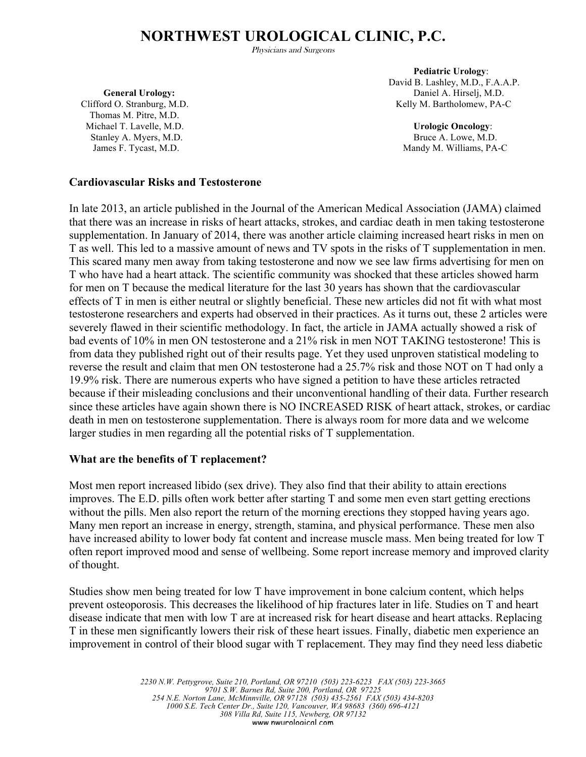Physicians and Surgeons

 **Pediatric Urology**: David B. Lashley, M.D., F.A.A.P. **General Urology:** Daniel A. Hirselj, M.D. Clifford O. Stranburg, M.D. Kelly M. Bartholomew, PA-C

James F. Tycast, M.D. **Mandy M. Williams, PA-C** Mandy M. Williams, PA-C

 Thomas M. Pitre, M.D. Michael T. Lavelle, M.D. **Urologic Oncology**: Stanley A. Myers, M.D. Bruce A. Lowe, M.D.

#### **Cardiovascular Risks and Testosterone**

In late 2013, an article published in the Journal of the American Medical Association (JAMA) claimed that there was an increase in risks of heart attacks, strokes, and cardiac death in men taking testosterone supplementation. In January of 2014, there was another article claiming increased heart risks in men on T as well. This led to a massive amount of news and TV spots in the risks of T supplementation in men. This scared many men away from taking testosterone and now we see law firms advertising for men on T who have had a heart attack. The scientific community was shocked that these articles showed harm for men on T because the medical literature for the last 30 years has shown that the cardiovascular effects of T in men is either neutral or slightly beneficial. These new articles did not fit with what most testosterone researchers and experts had observed in their practices. As it turns out, these 2 articles were severely flawed in their scientific methodology. In fact, the article in JAMA actually showed a risk of bad events of 10% in men ON testosterone and a 21% risk in men NOT TAKING testosterone! This is from data they published right out of their results page. Yet they used unproven statistical modeling to reverse the result and claim that men ON testosterone had a 25.7% risk and those NOT on T had only a 19.9% risk. There are numerous experts who have signed a petition to have these articles retracted because if their misleading conclusions and their unconventional handling of their data. Further research since these articles have again shown there is NO INCREASED RISK of heart attack, strokes, or cardiac death in men on testosterone supplementation. There is always room for more data and we welcome larger studies in men regarding all the potential risks of T supplementation.

#### **What are the benefits of T replacement?**

Most men report increased libido (sex drive). They also find that their ability to attain erections improves. The E.D. pills often work better after starting T and some men even start getting erections without the pills. Men also report the return of the morning erections they stopped having years ago. Many men report an increase in energy, strength, stamina, and physical performance. These men also have increased ability to lower body fat content and increase muscle mass. Men being treated for low T often report improved mood and sense of wellbeing. Some report increase memory and improved clarity of thought.

Studies show men being treated for low T have improvement in bone calcium content, which helps prevent osteoporosis. This decreases the likelihood of hip fractures later in life. Studies on T and heart disease indicate that men with low T are at increased risk for heart disease and heart attacks. Replacing T in these men significantly lowers their risk of these heart issues. Finally, diabetic men experience an improvement in control of their blood sugar with T replacement. They may find they need less diabetic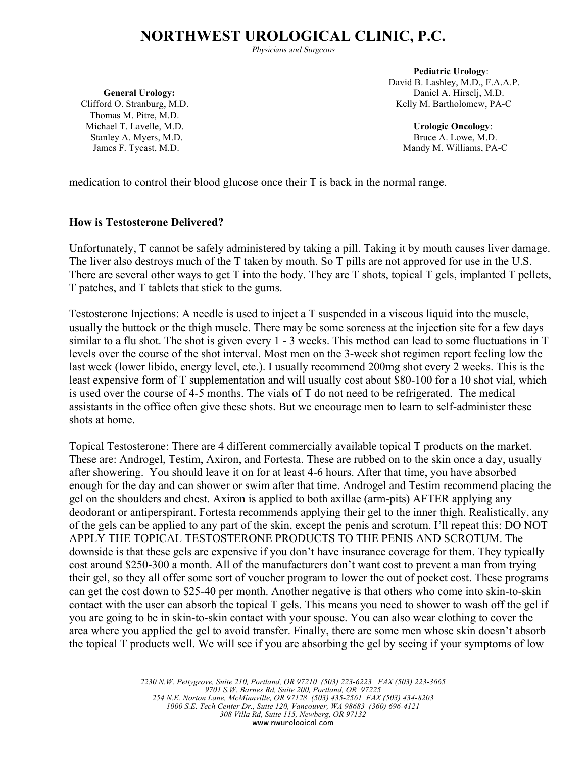Physicians and Surgeons

 **Pediatric Urology**: David B. Lashley, M.D., F.A.A.P. **General Urology:** Daniel A. Hirselj, M.D. Clifford O. Stranburg, M.D. Kelly M. Bartholomew, PA-C

James F. Tycast, M.D. **Mandy M. Williams, PA-C** Mandy M. Williams, PA-C

 Thomas M. Pitre, M.D. Michael T. Lavelle, M.D. **Urologic Oncology**: Stanley A. Myers, M.D. Bruce A. Lowe, M.D.

medication to control their blood glucose once their T is back in the normal range.

#### **How is Testosterone Delivered?**

Unfortunately, T cannot be safely administered by taking a pill. Taking it by mouth causes liver damage. The liver also destroys much of the T taken by mouth. So T pills are not approved for use in the U.S. There are several other ways to get T into the body. They are T shots, topical T gels, implanted T pellets, T patches, and T tablets that stick to the gums.

Testosterone Injections: A needle is used to inject a T suspended in a viscous liquid into the muscle, usually the buttock or the thigh muscle. There may be some soreness at the injection site for a few days similar to a flu shot. The shot is given every 1 - 3 weeks. This method can lead to some fluctuations in T levels over the course of the shot interval. Most men on the 3-week shot regimen report feeling low the last week (lower libido, energy level, etc.). I usually recommend 200mg shot every 2 weeks. This is the least expensive form of T supplementation and will usually cost about \$80-100 for a 10 shot vial, which is used over the course of 4-5 months. The vials of T do not need to be refrigerated. The medical assistants in the office often give these shots. But we encourage men to learn to self-administer these shots at home.

Topical Testosterone: There are 4 different commercially available topical T products on the market. These are: Androgel, Testim, Axiron, and Fortesta. These are rubbed on to the skin once a day, usually after showering. You should leave it on for at least 4-6 hours. After that time, you have absorbed enough for the day and can shower or swim after that time. Androgel and Testim recommend placing the gel on the shoulders and chest. Axiron is applied to both axillae (arm-pits) AFTER applying any deodorant or antiperspirant. Fortesta recommends applying their gel to the inner thigh. Realistically, any of the gels can be applied to any part of the skin, except the penis and scrotum. I'll repeat this: DO NOT APPLY THE TOPICAL TESTOSTERONE PRODUCTS TO THE PENIS AND SCROTUM. The downside is that these gels are expensive if you don't have insurance coverage for them. They typically cost around \$250-300 a month. All of the manufacturers don't want cost to prevent a man from trying their gel, so they all offer some sort of voucher program to lower the out of pocket cost. These programs can get the cost down to \$25-40 per month. Another negative is that others who come into skin-to-skin contact with the user can absorb the topical T gels. This means you need to shower to wash off the gel if you are going to be in skin-to-skin contact with your spouse. You can also wear clothing to cover the area where you applied the gel to avoid transfer. Finally, there are some men whose skin doesn't absorb the topical T products well. We will see if you are absorbing the gel by seeing if your symptoms of low

> *2230 N.W. Pettygrove, Suite 210, Portland, OR 97210 (503) 223-6223 FAX (503) 223-3665 9701 S.W. Barnes Rd, Suite 200, Portland, OR 97225 254 N.E. Norton Lane, McMinnville, OR 97128 (503) 435-2561 FAX (503) 434-8203 1000 S.E. Tech Center Dr., Suite 120, Vancouver, WA 98683 (360) 696-4121 308 Villa Rd, Suite 115, Newberg, OR 97132* www.nwurological.com